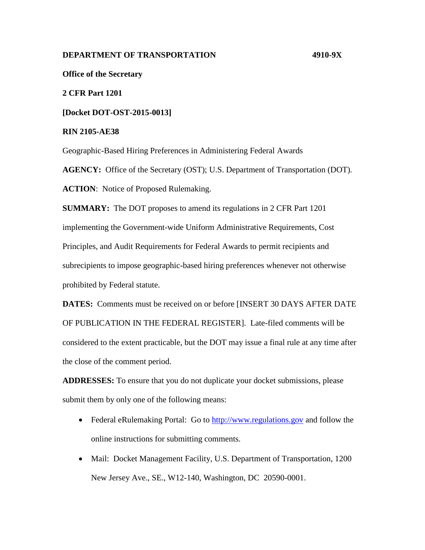# **DEPARTMENT OF TRANSPORTATION 4910-9X**

**Office of the Secretary**

**2 CFR Part 1201**

**[Docket DOT-OST-2015-0013]**

**RIN 2105-AE38**

Geographic-Based Hiring Preferences in Administering Federal Awards

**AGENCY:** Office of the Secretary (OST); U.S. Department of Transportation (DOT). **ACTION**: Notice of Proposed Rulemaking.

**SUMMARY:** The DOT proposes to amend its regulations in 2 CFR Part 1201 implementing the Government-wide Uniform Administrative Requirements, Cost Principles, and Audit Requirements for Federal Awards to permit recipients and subrecipients to impose geographic-based hiring preferences whenever not otherwise prohibited by Federal statute.

**DATES:** Comments must be received on or before [INSERT 30 DAYS AFTER DATE OF PUBLICATION IN THE FEDERAL REGISTER]. Late-filed comments will be considered to the extent practicable, but the DOT may issue a final rule at any time after the close of the comment period.

**ADDRESSES:** To ensure that you do not duplicate your docket submissions, please submit them by only one of the following means:

- Federal eRulemaking Portal: Go to [http://www.regulations.gov](http://www.regulations.gov/) and follow the online instructions for submitting comments.
- Mail: Docket Management Facility, U.S. Department of Transportation, 1200 New Jersey Ave., SE., W12-140, Washington, DC 20590-0001.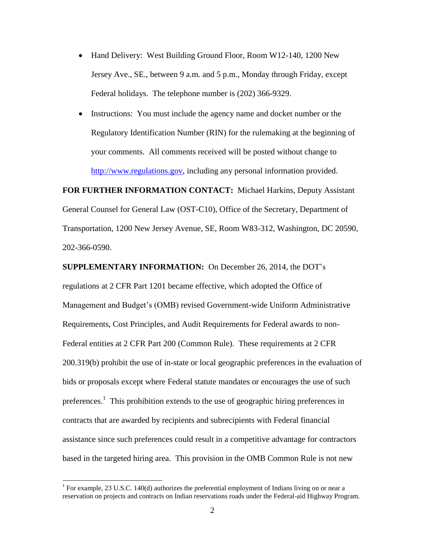- Hand Delivery: West Building Ground Floor, Room W12-140, 1200 New Jersey Ave., SE., between 9 a.m. and 5 p.m., Monday through Friday, except Federal holidays. The telephone number is (202) 366-9329.
- Instructions: You must include the agency name and docket number or the Regulatory Identification Number (RIN) for the rulemaking at the beginning of your comments. All comments received will be posted without change to [http://www.regulations.gov,](http://www.regulations.gov/) including any personal information provided.

**FOR FURTHER INFORMATION CONTACT:** Michael Harkins, Deputy Assistant General Counsel for General Law (OST-C10), Office of the Secretary, Department of Transportation, 1200 New Jersey Avenue, SE, Room W83-312, Washington, DC 20590, 202-366-0590.

**SUPPLEMENTARY INFORMATION:** On December 26, 2014, the DOT's regulations at 2 CFR Part 1201 became effective, which adopted the Office of Management and Budget's (OMB) revised Government-wide Uniform Administrative Requirements, Cost Principles, and Audit Requirements for Federal awards to non-Federal entities at 2 CFR Part 200 (Common Rule). These requirements at 2 CFR 200.319(b) prohibit the use of in-state or local geographic preferences in the evaluation of bids or proposals except where Federal statute mandates or encourages the use of such preferences.<sup>1</sup> This prohibition extends to the use of geographic hiring preferences in contracts that are awarded by recipients and subrecipients with Federal financial assistance since such preferences could result in a competitive advantage for contractors based in the targeted hiring area. This provision in the OMB Common Rule is not new

l

<sup>&</sup>lt;sup>1</sup> For example, 23 U.S.C. 140(d) authorizes the preferential employment of Indians living on or near a reservation on projects and contracts on Indian reservations roads under the Federal-aid Highway Program.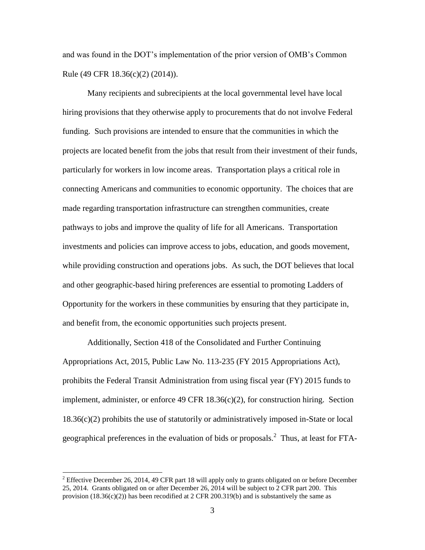and was found in the DOT's implementation of the prior version of OMB's Common Rule (49 CFR 18.36(c)(2) (2014)).

Many recipients and subrecipients at the local governmental level have local hiring provisions that they otherwise apply to procurements that do not involve Federal funding. Such provisions are intended to ensure that the communities in which the projects are located benefit from the jobs that result from their investment of their funds, particularly for workers in low income areas. Transportation plays a critical role in connecting Americans and communities to economic opportunity. The choices that are made regarding transportation infrastructure can strengthen communities, create pathways to jobs and improve the quality of life for all Americans. Transportation investments and policies can improve access to jobs, education, and goods movement, while providing construction and operations jobs. As such, the DOT believes that local and other geographic-based hiring preferences are essential to promoting Ladders of Opportunity for the workers in these communities by ensuring that they participate in, and benefit from, the economic opportunities such projects present.

Additionally, Section 418 of the Consolidated and Further Continuing Appropriations Act, 2015, Public Law No. 113-235 (FY 2015 Appropriations Act), prohibits the Federal Transit Administration from using fiscal year (FY) 2015 funds to implement, administer, or enforce 49 CFR  $18.36(c)(2)$ , for construction hiring. Section  $18.36(c)(2)$  prohibits the use of statutorily or administratively imposed in-State or local geographical preferences in the evaluation of bids or proposals.<sup>2</sup> Thus, at least for FTA-

 $\overline{\phantom{a}}$ 

<sup>&</sup>lt;sup>2</sup> Effective December 26, 2014, 49 CFR part 18 will apply only to grants obligated on or before December 25, 2014. Grants obligated on or after December 26, 2014 will be subject to 2 CFR part 200. This provision  $(18.36(c)(2))$  has been recodified at 2 CFR 200.319(b) and is substantively the same as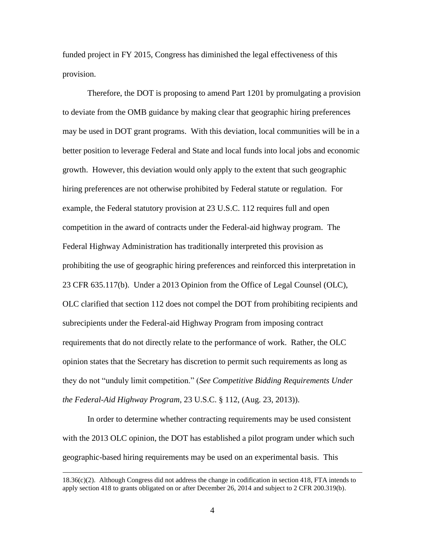funded project in FY 2015, Congress has diminished the legal effectiveness of this provision.

Therefore, the DOT is proposing to amend Part 1201 by promulgating a provision to deviate from the OMB guidance by making clear that geographic hiring preferences may be used in DOT grant programs. With this deviation, local communities will be in a better position to leverage Federal and State and local funds into local jobs and economic growth. However, this deviation would only apply to the extent that such geographic hiring preferences are not otherwise prohibited by Federal statute or regulation. For example, the Federal statutory provision at 23 U.S.C. 112 requires full and open competition in the award of contracts under the Federal-aid highway program. The Federal Highway Administration has traditionally interpreted this provision as prohibiting the use of geographic hiring preferences and reinforced this interpretation in 23 CFR 635.117(b). Under a 2013 Opinion from the Office of Legal Counsel (OLC), OLC clarified that section 112 does not compel the DOT from prohibiting recipients and subrecipients under the Federal-aid Highway Program from imposing contract requirements that do not directly relate to the performance of work. Rather, the OLC opinion states that the Secretary has discretion to permit such requirements as long as they do not "unduly limit competition." (*See Competitive Bidding Requirements Under the Federal-Aid Highway Program*, 23 U.S.C. § 112, (Aug. 23, 2013)).

In order to determine whether contracting requirements may be used consistent with the 2013 OLC opinion, the DOT has established a pilot program under which such geographic-based hiring requirements may be used on an experimental basis. This

 $\overline{\phantom{a}}$ 

<sup>18.36(</sup>c)(2). Although Congress did not address the change in codification in section 418, FTA intends to apply section 418 to grants obligated on or after December 26, 2014 and subject to 2 CFR 200.319(b).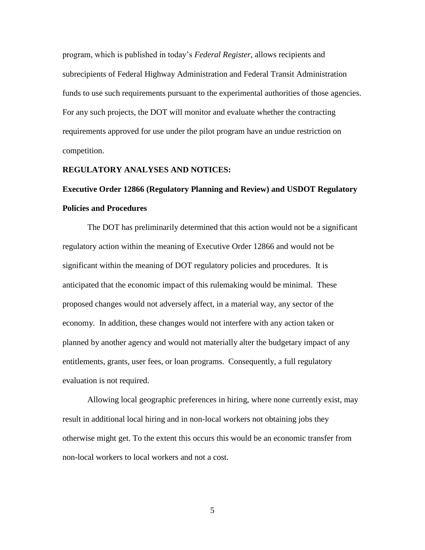program, which is published in today's *Federal Register*, allows recipients and subrecipients of Federal Highway Administration and Federal Transit Administration funds to use such requirements pursuant to the experimental authorities of those agencies. For any such projects, the DOT will monitor and evaluate whether the contracting requirements approved for use under the pilot program have an undue restriction on competition.

### **REGULATORY ANALYSES AND NOTICES:**

# **Executive Order 12866 (Regulatory Planning and Review) and USDOT Regulatory Policies and Procedures**

The DOT has preliminarily determined that this action would not be a significant regulatory action within the meaning of Executive Order 12866 and would not be significant within the meaning of DOT regulatory policies and procedures. It is anticipated that the economic impact of this rulemaking would be minimal. These proposed changes would not adversely affect, in a material way, any sector of the economy. In addition, these changes would not interfere with any action taken or planned by another agency and would not materially alter the budgetary impact of any entitlements, grants, user fees, or loan programs. Consequently, a full regulatory evaluation is not required.

Allowing local geographic preferences in hiring, where none currently exist, may result in additional local hiring and in non-local workers not obtaining jobs they otherwise might get. To the extent this occurs this would be an economic transfer from non-local workers to local workers and not a cost.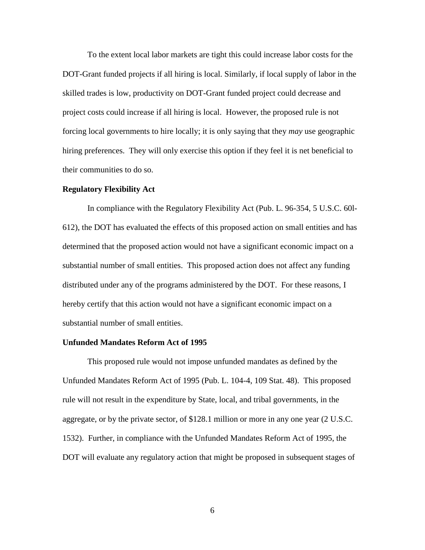To the extent local labor markets are tight this could increase labor costs for the DOT-Grant funded projects if all hiring is local. Similarly, if local supply of labor in the skilled trades is low, productivity on DOT-Grant funded project could decrease and project costs could increase if all hiring is local. However, the proposed rule is not forcing local governments to hire locally; it is only saying that they *may* use geographic hiring preferences. They will only exercise this option if they feel it is net beneficial to their communities to do so.

#### **Regulatory Flexibility Act**

In compliance with the Regulatory Flexibility Act (Pub. L. 96-354, 5 U.S.C. 60l-612), the DOT has evaluated the effects of this proposed action on small entities and has determined that the proposed action would not have a significant economic impact on a substantial number of small entities. This proposed action does not affect any funding distributed under any of the programs administered by the DOT. For these reasons, I hereby certify that this action would not have a significant economic impact on a substantial number of small entities.

#### **Unfunded Mandates Reform Act of 1995**

This proposed rule would not impose unfunded mandates as defined by the Unfunded Mandates Reform Act of 1995 (Pub. L. 104-4, 109 Stat. 48). This proposed rule will not result in the expenditure by State, local, and tribal governments, in the aggregate, or by the private sector, of \$128.1 million or more in any one year (2 U.S.C. 1532). Further, in compliance with the Unfunded Mandates Reform Act of 1995, the DOT will evaluate any regulatory action that might be proposed in subsequent stages of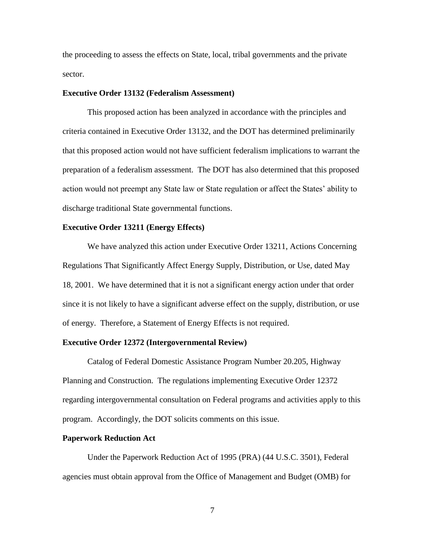the proceeding to assess the effects on State, local, tribal governments and the private sector.

# **Executive Order 13132 (Federalism Assessment)**

This proposed action has been analyzed in accordance with the principles and criteria contained in Executive Order 13132, and the DOT has determined preliminarily that this proposed action would not have sufficient federalism implications to warrant the preparation of a federalism assessment. The DOT has also determined that this proposed action would not preempt any State law or State regulation or affect the States' ability to discharge traditional State governmental functions.

# **Executive Order 13211 (Energy Effects)**

We have analyzed this action under Executive Order 13211, Actions Concerning Regulations That Significantly Affect Energy Supply, Distribution, or Use, dated May 18, 2001. We have determined that it is not a significant energy action under that order since it is not likely to have a significant adverse effect on the supply, distribution, or use of energy. Therefore, a Statement of Energy Effects is not required.

# **Executive Order 12372 (Intergovernmental Review)**

Catalog of Federal Domestic Assistance Program Number 20.205, Highway Planning and Construction. The regulations implementing Executive Order 12372 regarding intergovernmental consultation on Federal programs and activities apply to this program. Accordingly, the DOT solicits comments on this issue.

#### **Paperwork Reduction Act**

Under the Paperwork Reduction Act of 1995 (PRA) (44 U.S.C. 3501), Federal agencies must obtain approval from the Office of Management and Budget (OMB) for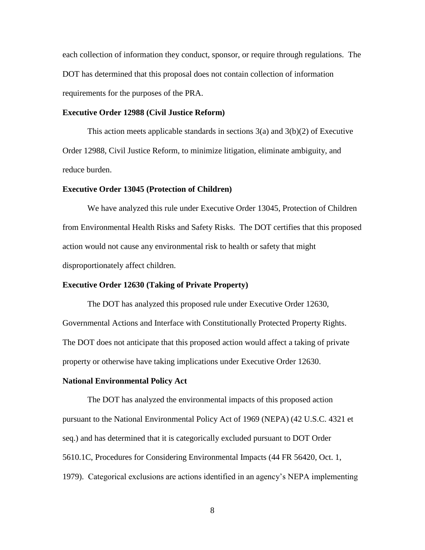each collection of information they conduct, sponsor, or require through regulations. The DOT has determined that this proposal does not contain collection of information requirements for the purposes of the PRA.

# **Executive Order 12988 (Civil Justice Reform)**

This action meets applicable standards in sections 3(a) and 3(b)(2) of Executive Order 12988, Civil Justice Reform, to minimize litigation, eliminate ambiguity, and reduce burden.

# **Executive Order 13045 (Protection of Children)**

We have analyzed this rule under Executive Order 13045, Protection of Children from Environmental Health Risks and Safety Risks. The DOT certifies that this proposed action would not cause any environmental risk to health or safety that might disproportionately affect children.

### **Executive Order 12630 (Taking of Private Property)**

The DOT has analyzed this proposed rule under Executive Order 12630, Governmental Actions and Interface with Constitutionally Protected Property Rights. The DOT does not anticipate that this proposed action would affect a taking of private property or otherwise have taking implications under Executive Order 12630.

#### **National Environmental Policy Act**

The DOT has analyzed the environmental impacts of this proposed action pursuant to the National Environmental Policy Act of 1969 (NEPA) (42 U.S.C. 4321 et seq.) and has determined that it is categorically excluded pursuant to DOT Order 5610.1C, Procedures for Considering Environmental Impacts (44 FR 56420, Oct. 1, 1979). Categorical exclusions are actions identified in an agency's NEPA implementing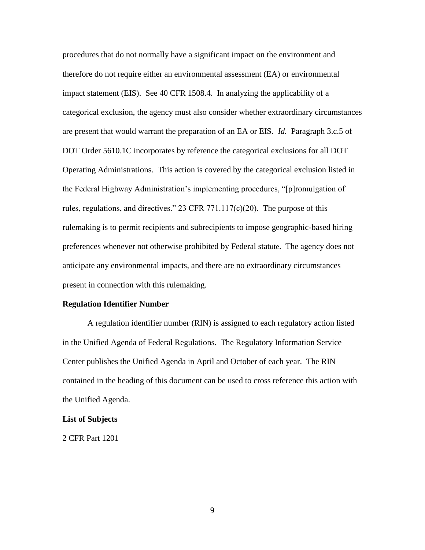procedures that do not normally have a significant impact on the environment and therefore do not require either an environmental assessment (EA) or environmental impact statement (EIS). See 40 CFR 1508.4. In analyzing the applicability of a categorical exclusion, the agency must also consider whether extraordinary circumstances are present that would warrant the preparation of an EA or EIS. *Id.* Paragraph 3.c.5 of DOT Order 5610.1C incorporates by reference the categorical exclusions for all DOT Operating Administrations. This action is covered by the categorical exclusion listed in the Federal Highway Administration's implementing procedures, "[p]romulgation of rules, regulations, and directives." 23 CFR 771.117(c)(20). The purpose of this rulemaking is to permit recipients and subrecipients to impose geographic-based hiring preferences whenever not otherwise prohibited by Federal statute. The agency does not anticipate any environmental impacts, and there are no extraordinary circumstances present in connection with this rulemaking.

# **Regulation Identifier Number**

A regulation identifier number (RIN) is assigned to each regulatory action listed in the Unified Agenda of Federal Regulations. The Regulatory Information Service Center publishes the Unified Agenda in April and October of each year. The RIN contained in the heading of this document can be used to cross reference this action with the Unified Agenda.

#### **List of Subjects**

2 CFR Part 1201

9